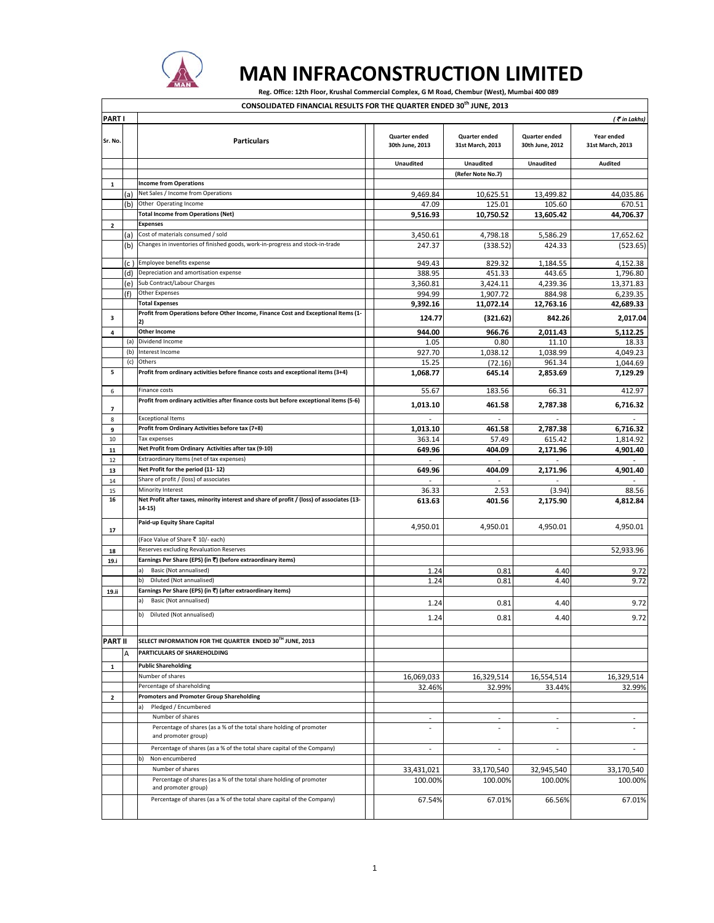

 $\overline{\Gamma}$ 

## **MAN INFRACONSTRUCTION LIMITED**

٦

Reg. Office: 12th Floor, Krushal Commercial Complex, G M Road, Chembur (West), Mumbai 400 089

| CONSOLIDATED FINANCIAL RESULTS FOR THE QUARTER ENDED 30 I JUNE. 2013 |  |  |  |  |  |
|----------------------------------------------------------------------|--|--|--|--|--|
|----------------------------------------------------------------------|--|--|--|--|--|

| PART I         |     |                                                                                                     |  |                                         |                                   | (₹in Lakhs)                      |                                |
|----------------|-----|-----------------------------------------------------------------------------------------------------|--|-----------------------------------------|-----------------------------------|----------------------------------|--------------------------------|
| Sr. No.        |     | <b>Particulars</b>                                                                                  |  | <b>Quarter ended</b><br>30th June, 2013 | Quarter ended<br>31st March, 2013 | Quarter ended<br>30th June, 2012 | Year ended<br>31st March, 2013 |
|                |     |                                                                                                     |  | <b>Unaudited</b>                        | Unaudited                         | <b>Unaudited</b>                 | <b>Audited</b>                 |
|                |     |                                                                                                     |  |                                         | (Refer Note No.7)                 |                                  |                                |
| $\mathbf{1}$   |     | <b>Income from Operations</b>                                                                       |  |                                         |                                   |                                  |                                |
|                | (a) | Net Sales / Income from Operations                                                                  |  | 9,469.84                                | 10,625.51                         | 13,499.82                        | 44,035.86                      |
|                | (b) | Other Operating Income                                                                              |  | 47.09                                   | 125.01                            | 105.60                           | 670.51                         |
|                |     | <b>Total Income from Operations (Net)</b>                                                           |  | 9,516.93                                | 10,750.52                         | 13,605.42                        | 44,706.37                      |
| 2              |     | <b>Expenses</b>                                                                                     |  |                                         |                                   |                                  |                                |
|                | (a) | Cost of materials consumed / sold                                                                   |  | 3,450.61                                | 4,798.18                          | 5,586.29                         | 17,652.62                      |
|                | (b) | Changes in inventories of finished goods, work-in-progress and stock-in-trade                       |  | 247.37                                  | (338.52)                          | 424.33                           | (523.65)                       |
|                | (c  | Employee benefits expense                                                                           |  | 949.43                                  | 829.32                            | 1,184.55                         | 4,152.38                       |
|                | (d) | Depreciation and amortisation expense                                                               |  | 388.95                                  | 451.33                            | 443.65                           | 1,796.80                       |
|                | (e) | Sub Contract/Labour Charges                                                                         |  | 3,360.81                                | 3,424.11                          | 4,239.36                         | 13,371.83                      |
|                | (f) | Other Expenses                                                                                      |  | 994.99                                  | 1,907.72                          | 884.98                           | 6,239.35                       |
|                |     | <b>Total Expenses</b>                                                                               |  | 9,392.16                                | 11,072.14                         | 12,763.16                        | 42,689.33                      |
| з              |     | Profit from Operations before Other Income, Finance Cost and Exceptional Items (1-<br>2)            |  | 124.77                                  | (321.62)                          | 842.26                           | 2,017.04                       |
| 4              |     | <b>Other Income</b>                                                                                 |  | 944.00                                  | 966.76                            | 2,011.43                         | 5,112.25                       |
|                | (a) | Dividend Income                                                                                     |  | 1.05                                    | 0.80                              | 11.10                            | 18.33                          |
|                | (b) | Interest Income                                                                                     |  | 927.70                                  | 1,038.12                          | 1,038.99                         | 4,049.23                       |
|                | (c) | Others                                                                                              |  | 15.25                                   | (72.16)                           | 961.34                           | 1,044.69                       |
| 5              |     | Profit from ordinary activities before finance costs and exceptional items (3+4)                    |  | 1,068.77                                | 645.14                            | 2,853.69                         | 7,129.29                       |
| 6              |     | Finance costs                                                                                       |  | 55.67                                   | 183.56                            | 66.31                            | 412.97                         |
| 7              |     | Profit from ordinary activities after finance costs but before exceptional items (5-6)              |  | 1,013.10                                | 461.58                            | 2,787.38                         | 6,716.32                       |
| 8              |     | <b>Exceptional Items</b>                                                                            |  |                                         | ٠                                 |                                  |                                |
| 9              |     | Profit from Ordinary Activities before tax (7+8)                                                    |  | 1,013.10                                | 461.58                            | 2.787.38                         | 6,716.32                       |
| 10             |     | Tax expenses                                                                                        |  | 363.14                                  | 57.49                             | 615.42                           | 1,814.92                       |
| 11             |     | Net Profit from Ordinary Activities after tax (9-10)                                                |  | 649.96                                  | 404.09                            | 2,171.96                         | 4,901.40                       |
| 12             |     | Extraordinary Items (net of tax expenses)                                                           |  |                                         |                                   |                                  |                                |
| 13             |     | Net Profit for the period (11-12)                                                                   |  | 649.96                                  | 404.09                            | 2,171.96                         | 4,901.40                       |
| 14             |     | Share of profit / (loss) of associates                                                              |  |                                         |                                   |                                  |                                |
| 15             |     | Minority Interest                                                                                   |  | 36.33                                   | 2.53                              | (3.94)                           | 88.56                          |
| 16             |     | Net Profit after taxes, minority interest and share of profit / (loss) of associates (13-<br>14-15) |  | 613.63                                  | 401.56                            | 2,175.90                         | 4,812.84                       |
| 17             |     | Paid-up Equity Share Capital                                                                        |  | 4,950.01                                | 4,950.01                          | 4,950.01                         | 4,950.01                       |
|                |     | (Face Value of Share ₹ 10/- each)                                                                   |  |                                         |                                   |                                  |                                |
| 18             |     | Reserves excluding Revaluation Reserves                                                             |  |                                         |                                   |                                  | 52,933.96                      |
| 19.i           |     | Earnings Per Share (EPS) (in ₹) (before extraordinary items)                                        |  |                                         |                                   |                                  |                                |
|                |     | Basic (Not annualised)<br>a)                                                                        |  | 1.24                                    | 0.81                              | 4.40                             | 9.72                           |
|                |     | b)<br>Diluted (Not annualised)                                                                      |  | 1.24                                    | 0.81                              | 4.40                             | 9.72                           |
| 19.ii          |     | Earnings Per Share (EPS) (in ₹) (after extraordinary items)                                         |  |                                         |                                   |                                  |                                |
|                |     | Basic (Not annualised)<br>a)                                                                        |  | 1.24                                    | 0.81                              | 4.40                             | 9.72                           |
|                |     | b) Diluted (Not annualised)                                                                         |  | 1.24                                    | 0.81                              | 4.40                             | 9.72                           |
| <b>PART II</b> |     | SELECT INFORMATION FOR THE QUARTER ENDED 30TH JUNE, 2013                                            |  |                                         |                                   |                                  |                                |
|                | А   | PARTICULARS OF SHAREHOLDING                                                                         |  |                                         |                                   |                                  |                                |
| $\mathbf 1$    |     | <b>Public Shareholding</b>                                                                          |  |                                         |                                   |                                  |                                |
|                |     | Number of shares                                                                                    |  | 16,069,033                              | 16,329,514                        | 16,554,514                       | 16,329,514                     |
|                |     | Percentage of shareholding                                                                          |  | 32.46%                                  | 32.99%                            | 33.44%                           | 32.99%                         |
| 2              |     | <b>Promoters and Promoter Group Shareholding</b>                                                    |  |                                         |                                   |                                  |                                |
|                |     | Pledged / Encumbered<br>a)                                                                          |  |                                         |                                   |                                  |                                |
|                |     | Number of shares                                                                                    |  | $\overline{\phantom{a}}$                | $\overline{a}$                    | $\overline{a}$                   |                                |
|                |     | Percentage of shares (as a % of the total share holding of promoter<br>and promoter group)          |  | $\overline{a}$                          | $\overline{\phantom{a}}$          | $\overline{a}$                   | $\overline{\phantom{a}}$       |
|                |     | Percentage of shares (as a % of the total share capital of the Company)                             |  | $\overline{\phantom{a}}$                | $\overline{\phantom{a}}$          | $\overline{a}$                   | $\overline{\phantom{a}}$       |
|                |     | b)<br>Non-encumbered                                                                                |  |                                         |                                   |                                  |                                |
|                |     | Number of shares                                                                                    |  | 33,431,021                              | 33,170,540                        | 32,945,540                       | 33,170,540                     |
|                |     | Percentage of shares (as a % of the total share holding of promoter                                 |  | 100.00%                                 | 100.00%                           | 100.00%                          | 100.00%                        |
|                |     | and promoter group)                                                                                 |  |                                         |                                   |                                  |                                |
|                |     | Percentage of shares (as a % of the total share capital of the Company)                             |  | 67.54%                                  | 67.01%                            | 66.56%                           | 67.01%                         |